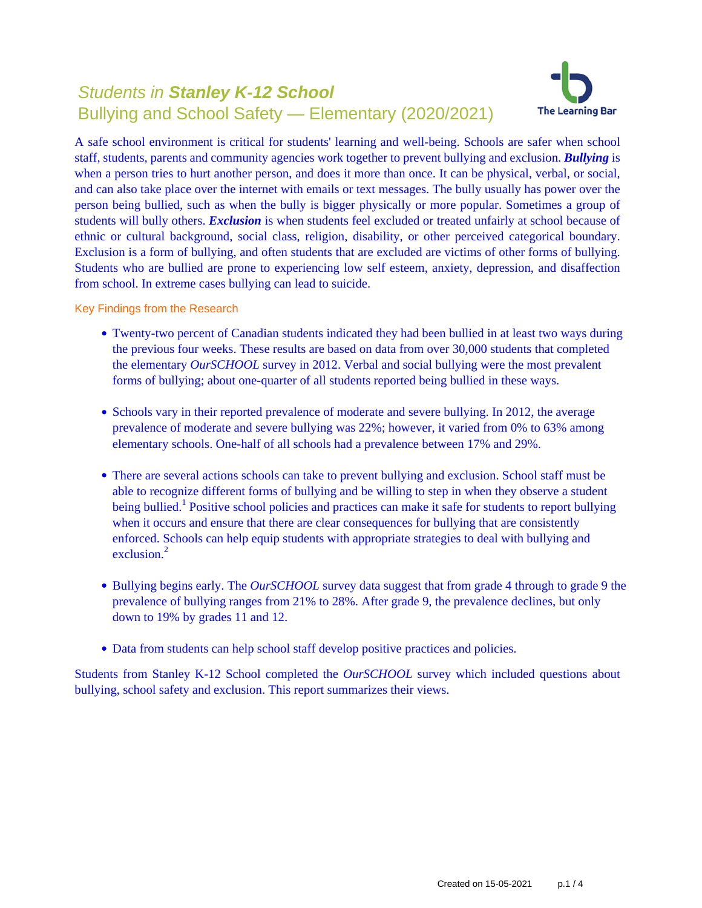# Students in **Stanley K-12 School** Bullying and School Safety — Elementary (2020/2021)



A safe school environment is critical for students' learning and well-being. Schools are safer when school staff, students, parents and community agencies work together to prevent bullying and exclusion. *Bullying* is when a person tries to hurt another person, and does it more than once. It can be physical, verbal, or social, and can also take place over the internet with emails or text messages. The bully usually has power over the person being bullied, such as when the bully is bigger physically or more popular. Sometimes a group of students will bully others. *Exclusion* is when students feel excluded or treated unfairly at school because of ethnic or cultural background, social class, religion, disability, or other perceived categorical boundary. Exclusion is a form of bullying, and often students that are excluded are victims of other forms of bullying. Students who are bullied are prone to experiencing low self esteem, anxiety, depression, and disaffection from school. In extreme cases bullying can lead to suicide.

Key Findings from the Research

- Twenty-two percent of Canadian students indicated they had been bullied in at least two ways during the previous four weeks. These results are based on data from over 30,000 students that completed the elementary *OurSCHOOL* survey in 2012. Verbal and social bullying were the most prevalent forms of bullying; about one-quarter of all students reported being bullied in these ways.
- Schools vary in their reported prevalence of moderate and severe bullying. In 2012, the average prevalence of moderate and severe bullying was 22%; however, it varied from 0% to 63% among elementary schools. One-half of all schools had a prevalence between 17% and 29%.
- There are several actions schools can take to prevent bullying and exclusion. School staff must be able to recognize different forms of bullying and be willing to step in when they observe a student being bullied.<sup>1</sup> Positive school policies and practices can make it safe for students to report bullying when it occurs and ensure that there are clear consequences for bullying that are consistently enforced. Schools can help equip students with appropriate strategies to deal with bullying and exclusion.<sup>2</sup>
- Bullying begins early. The *OurSCHOOL* survey data suggest that from grade 4 through to grade 9 the prevalence of bullying ranges from 21% to 28%. After grade 9, the prevalence declines, but only down to 19% by grades 11 and 12.
- Data from students can help school staff develop positive practices and policies.

Students from Stanley K-12 School completed the *OurSCHOOL* survey which included questions about bullying, school safety and exclusion. This report summarizes their views.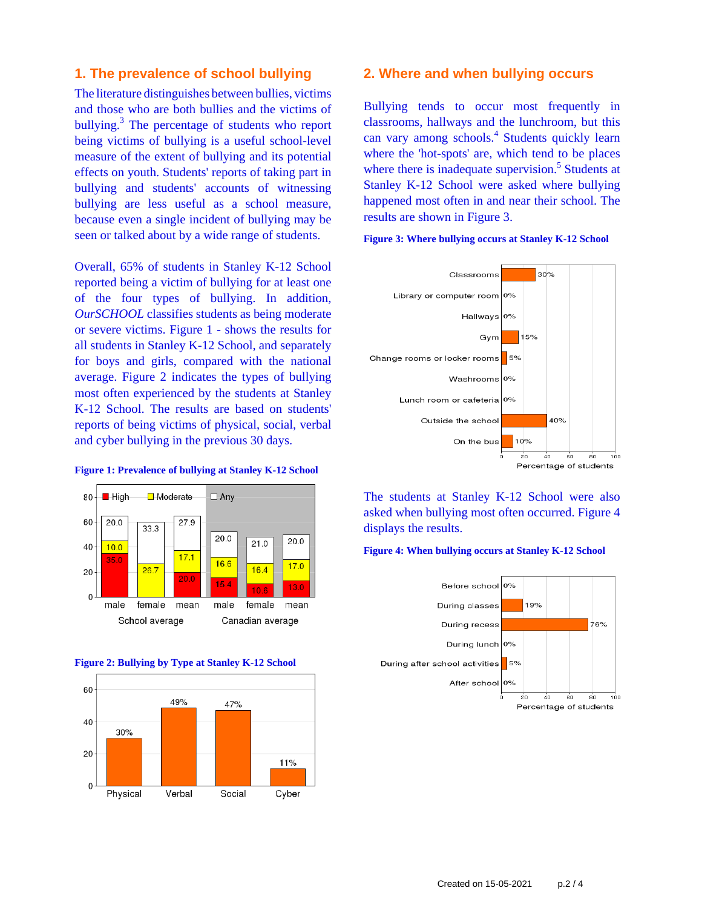## **1. The prevalence of school bullying**

The literature distinguishes between bullies, victims and those who are both bullies and the victims of bullying.<sup>3</sup> The percentage of students who report being victims of bullying is a useful school-level measure of the extent of bullying and its potential effects on youth. Students' reports of taking part in bullying and students' accounts of witnessing bullying are less useful as a school measure, because even a single incident of bullying may be seen or talked about by a wide range of students.

Overall, 65% of students in Stanley K-12 School reported being a victim of bullying for at least one of the four types of bullying. In addition, *OurSCHOOL* classifies students as being moderate or severe victims. Figure 1 - shows the results for all students in Stanley K-12 School, and separately for boys and girls, compared with the national average. Figure 2 indicates the types of bullying most often experienced by the students at Stanley K-12 School. The results are based on students' reports of being victims of physical, social, verbal and cyber bullying in the previous 30 days.

#### **Figure 1: Prevalence of bullying at Stanley K-12 School**







#### **2. Where and when bullying occurs**

Bullying tends to occur most frequently in classrooms, hallways and the lunchroom, but this can vary among schools.<sup>4</sup> Students quickly learn where the 'hot-spots' are, which tend to be places where there is inadequate supervision.<sup>5</sup> Students at Stanley K-12 School were asked where bullying happened most often in and near their school. The results are shown in Figure 3.

**Figure 3: Where bullying occurs at Stanley K-12 School**



The students at Stanley K-12 School were also asked when bullying most often occurred. Figure 4 displays the results.

#### **Figure 4: When bullying occurs at Stanley K-12 School**

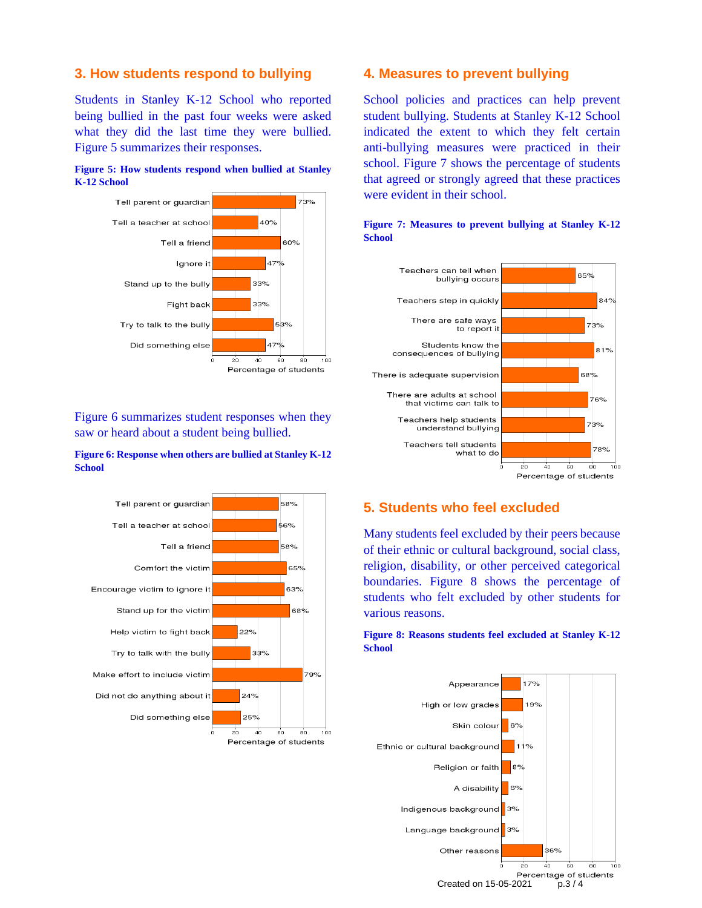## **3. How students respond to bullying**

Students in Stanley K-12 School who reported being bullied in the past four weeks were asked what they did the last time they were bullied. Figure 5 summarizes their responses.





Figure 6 summarizes student responses when they saw or heard about a student being bullied.

#### **Figure 6: Response when others are bullied at Stanley K-12 School**



### **4. Measures to prevent bullying**

School policies and practices can help prevent student bullying. Students at Stanley K-12 School indicated the extent to which they felt certain anti-bullying measures were practiced in their school. Figure 7 shows the percentage of students that agreed or strongly agreed that these practices were evident in their school.



#### **Figure 7: Measures to prevent bullying at Stanley K-12 School**

## **5. Students who feel excluded**

Many students feel excluded by their peers because of their ethnic or cultural background, social class, religion, disability, or other perceived categorical boundaries. Figure 8 shows the percentage of students who felt excluded by other students for various reasons.

#### **Figure 8: Reasons students feel excluded at Stanley K-12 School**